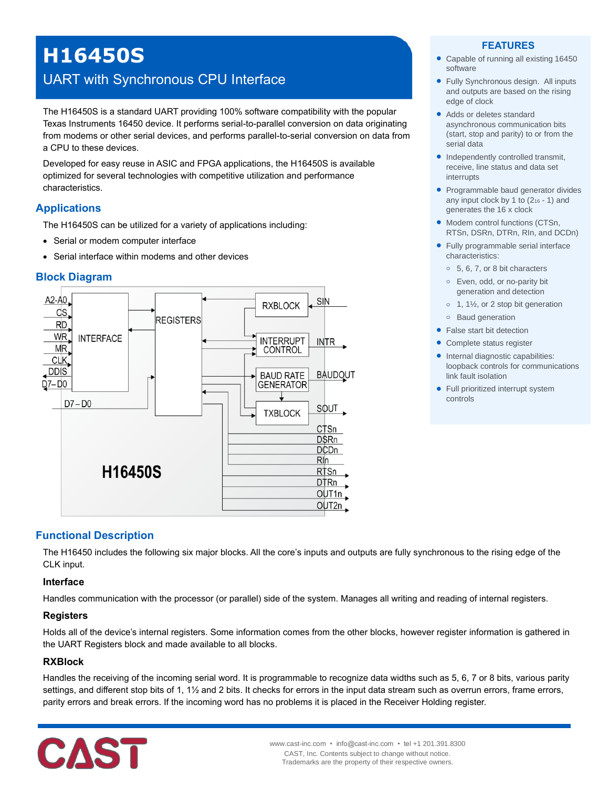# **H16450S**

## UART with Synchronous CPU Interface

The H16450S is a standard UART providing 100% software compatibility with the popular Texas Instruments 16450 device. It performs serial-to-parallel conversion on data originating from modems or other serial devices, and performs parallel-to-serial conversion on data from a CPU to these devices.

Developed for easy reuse in ASIC and FPGA applications, the H16450S is available optimized for several technologies with competitive utilization and performance characteristics.

## **Applications**

The H16450S can be utilized for a variety of applications including:

- Serial or modem computer interface
- Serial interface within modems and other devices

## **Block Diagram**



#### **FEATURES**

- Capable of running all existing 16450 software
- Fully Synchronous design. All inputs and outputs are based on the rising edge of clock
- Adds or deletes standard asynchronous communication bits (start, stop and parity) to or from the serial data
- Independently controlled transmit, receive, line status and data set interrupts
- Programmable baud generator divides any input clock by 1 to  $(2<sub>16</sub> - 1)$  and generates the 16 x clock
- Modem control functions (CTSn, RTSn, DSRn, DTRn, RIn, and DCDn)
- Fully programmable serial interface characteristics:
	- **o** 5, 6, 7, or 8 bit characters
	- **o** Even, odd, or no-parity bit generation and detection
	- **o** 1, 1½, or 2 stop bit generation
	- **o** Baud generation
- False start bit detection
- Complete status register
- Internal diagnostic capabilities: loopback controls for communications link fault isolation
- Full prioritized interrupt system controls

## **Functional Description**

The H16450 includes the following six major blocks. All the core's inputs and outputs are fully synchronous to the rising edge of the CLK input.

#### **Interface**

Handles communication with the processor (or parallel) side of the system. Manages all writing and reading of internal registers.

## **Registers**

Holds all of the device's internal registers. Some information comes from the other blocks, however register information is gathered in the UART Registers block and made available to all blocks.

#### **RXBlock**

Handles the receiving of the incoming serial word. It is programmable to recognize data widths such as 5, 6, 7 or 8 bits, various parity settings, and different stop bits of 1, 1½ and 2 bits. It checks for errors in the input data stream such as overrun errors, frame errors, parity errors and break errors. If the incoming word has no problems it is placed in the Receiver Holding register.